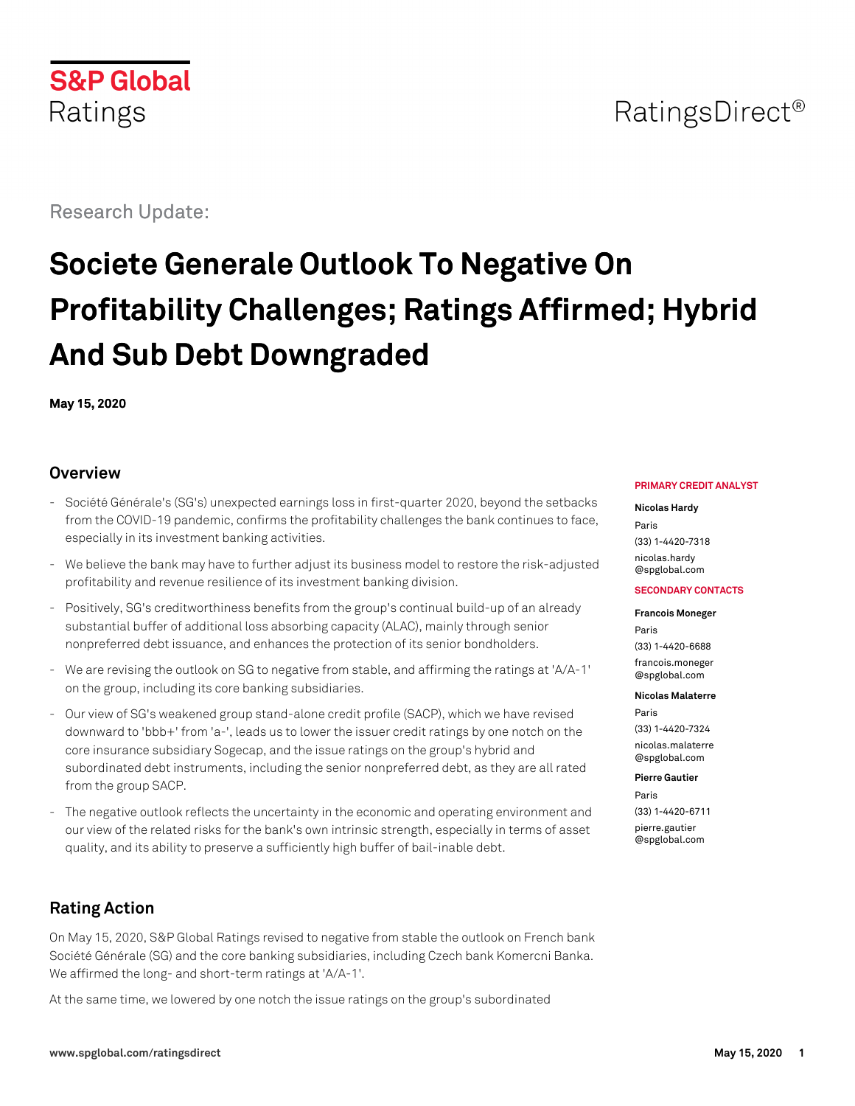

## RatingsDirect<sup>®</sup>

Research Update:

# **Societe Generale Outlook To Negative On Profitability Challenges; Ratings Affirmed; Hybrid And Sub Debt Downgraded**

**May 15, 2020**

## **Overview**

- Société Générale's (SG's) unexpected earnings loss in first-quarter 2020, beyond the setbacks from the COVID-19 pandemic, confirms the profitability challenges the bank continues to face, especially in its investment banking activities.
- We believe the bank may have to further adjust its business model to restore the risk-adjusted profitability and revenue resilience of its investment banking division.
- Positively, SG's creditworthiness benefits from the group's continual build-up of an already substantial buffer of additional loss absorbing capacity (ALAC), mainly through senior nonpreferred debt issuance, and enhances the protection of its senior bondholders.
- We are revising the outlook on SG to negative from stable, and affirming the ratings at 'A/A-1' on the group, including its core banking subsidiaries.
- Our view of SG's weakened group stand-alone credit profile (SACP), which we have revised downward to 'bbb+' from 'a-', leads us to lower the issuer credit ratings by one notch on the core insurance subsidiary Sogecap, and the issue ratings on the group's hybrid and subordinated debt instruments, including the senior nonpreferred debt, as they are all rated from the group SACP.
- The negative outlook reflects the uncertainty in the economic and operating environment and our view of the related risks for the bank's own intrinsic strength, especially in terms of asset quality, and its ability to preserve a sufficiently high buffer of bail-inable debt.

## **Rating Action**

On May 15, 2020, S&P Global Ratings revised to negative from stable the outlook on French bank Société Générale (SG) and the core banking subsidiaries, including Czech bank Komercni Banka. We affirmed the long- and short-term ratings at 'A/A-1'.

At the same time, we lowered by one notch the issue ratings on the group's subordinated

#### **PRIMARY CREDIT ANALYST**

#### **Nicolas Hardy**

Paris (33) 1-4420-7318 [nicolas.hardy](mailto:nicolas.hardy@spglobal.com) [@spglobal.com](mailto:nicolas.hardy@spglobal.com)

#### **SECONDARY CONTACTS**

#### **Francois Moneger**

Paris (33) 1-4420-6688 [francois.moneger](mailto:francois.moneger@spglobal.com) [@spglobal.com](mailto:francois.moneger@spglobal.com)

#### **Nicolas Malaterre**

Paris (33) 1-4420-7324 [nicolas.malaterre](mailto:nicolas.malaterre@spglobal.com) [@spglobal.com](mailto:nicolas.malaterre@spglobal.com)

#### **Pierre Gautier**

Paris (33) 1-4420-6711

[pierre.gautier](mailto:pierre.gautier@spglobal.com) [@spglobal.com](mailto:pierre.gautier@spglobal.com)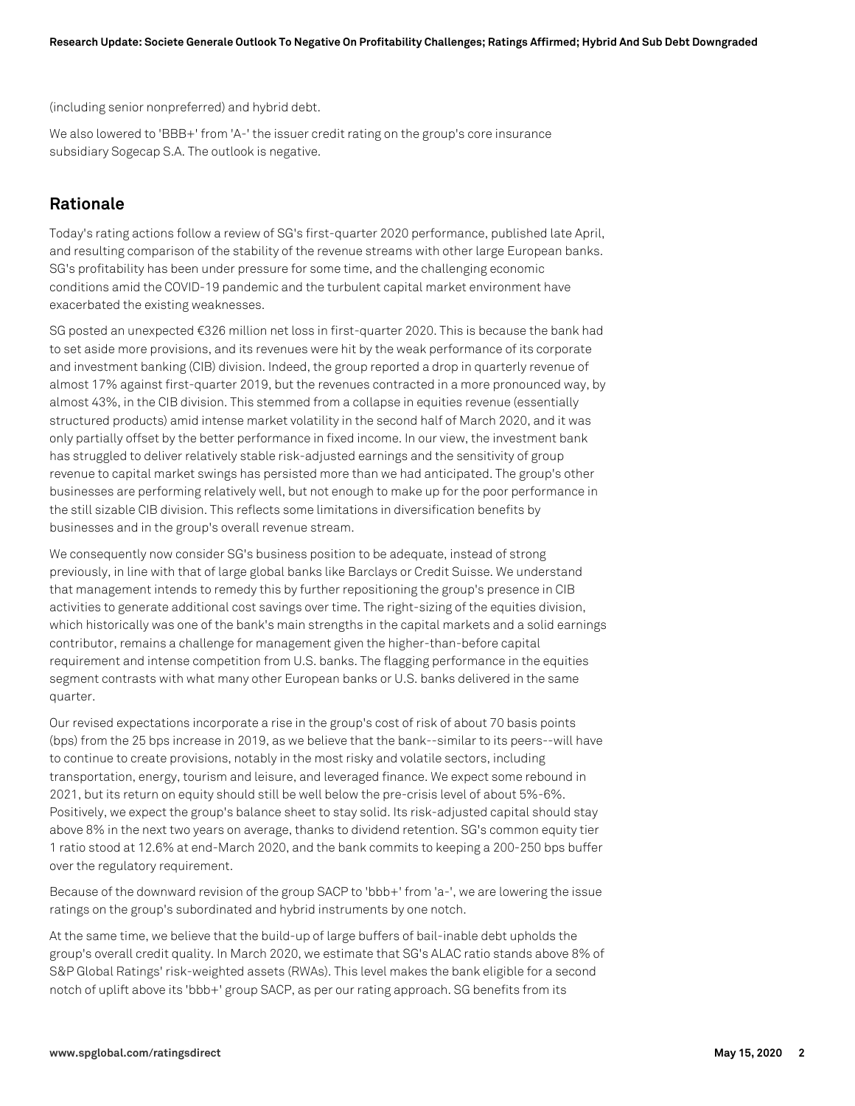(including senior nonpreferred) and hybrid debt.

We also lowered to 'BBB+' from 'A-' the issuer credit rating on the group's core insurance subsidiary Sogecap S.A. The outlook is negative.

## **Rationale**

Today's rating actions follow a review of SG's first-quarter 2020 performance, published late April, and resulting comparison of the stability of the revenue streams with other large European banks. SG's profitability has been under pressure for some time, and the challenging economic conditions amid the COVID-19 pandemic and the turbulent capital market environment have exacerbated the existing weaknesses.

SG posted an unexpected €326 million net loss in first-quarter 2020. This is because the bank had to set aside more provisions, and its revenues were hit by the weak performance of its corporate and investment banking (CIB) division. Indeed, the group reported a drop in quarterly revenue of almost 17% against first-quarter 2019, but the revenues contracted in a more pronounced way, by almost 43%, in the CIB division. This stemmed from a collapse in equities revenue (essentially structured products) amid intense market volatility in the second half of March 2020, and it was only partially offset by the better performance in fixed income. In our view, the investment bank has struggled to deliver relatively stable risk-adjusted earnings and the sensitivity of group revenue to capital market swings has persisted more than we had anticipated. The group's other businesses are performing relatively well, but not enough to make up for the poor performance in the still sizable CIB division. This reflects some limitations in diversification benefits by businesses and in the group's overall revenue stream.

We consequently now consider SG's business position to be adequate, instead of strong previously, in line with that of large global banks like Barclays or Credit Suisse. We understand that management intends to remedy this by further repositioning the group's presence in CIB activities to generate additional cost savings over time. The right-sizing of the equities division, which historically was one of the bank's main strengths in the capital markets and a solid earnings contributor, remains a challenge for management given the higher-than-before capital requirement and intense competition from U.S. banks. The flagging performance in the equities segment contrasts with what many other European banks or U.S. banks delivered in the same quarter.

Our revised expectations incorporate a rise in the group's cost of risk of about 70 basis points (bps) from the 25 bps increase in 2019, as we believe that the bank--similar to its peers--will have to continue to create provisions, notably in the most risky and volatile sectors, including transportation, energy, tourism and leisure, and leveraged finance. We expect some rebound in 2021, but its return on equity should still be well below the pre-crisis level of about 5%-6%. Positively, we expect the group's balance sheet to stay solid. Its risk-adjusted capital should stay above 8% in the next two years on average, thanks to dividend retention. SG's common equity tier 1 ratio stood at 12.6% at end-March 2020, and the bank commits to keeping a 200-250 bps buffer over the regulatory requirement.

Because of the downward revision of the group SACP to 'bbb+' from 'a-', we are lowering the issue ratings on the group's subordinated and hybrid instruments by one notch.

At the same time, we believe that the build-up of large buffers of bail-inable debt upholds the group's overall credit quality. In March 2020, we estimate that SG's ALAC ratio stands above 8% of S&P Global Ratings' risk-weighted assets (RWAs). This level makes the bank eligible for a second notch of uplift above its 'bbb+' group SACP, as per our rating approach. SG benefits from its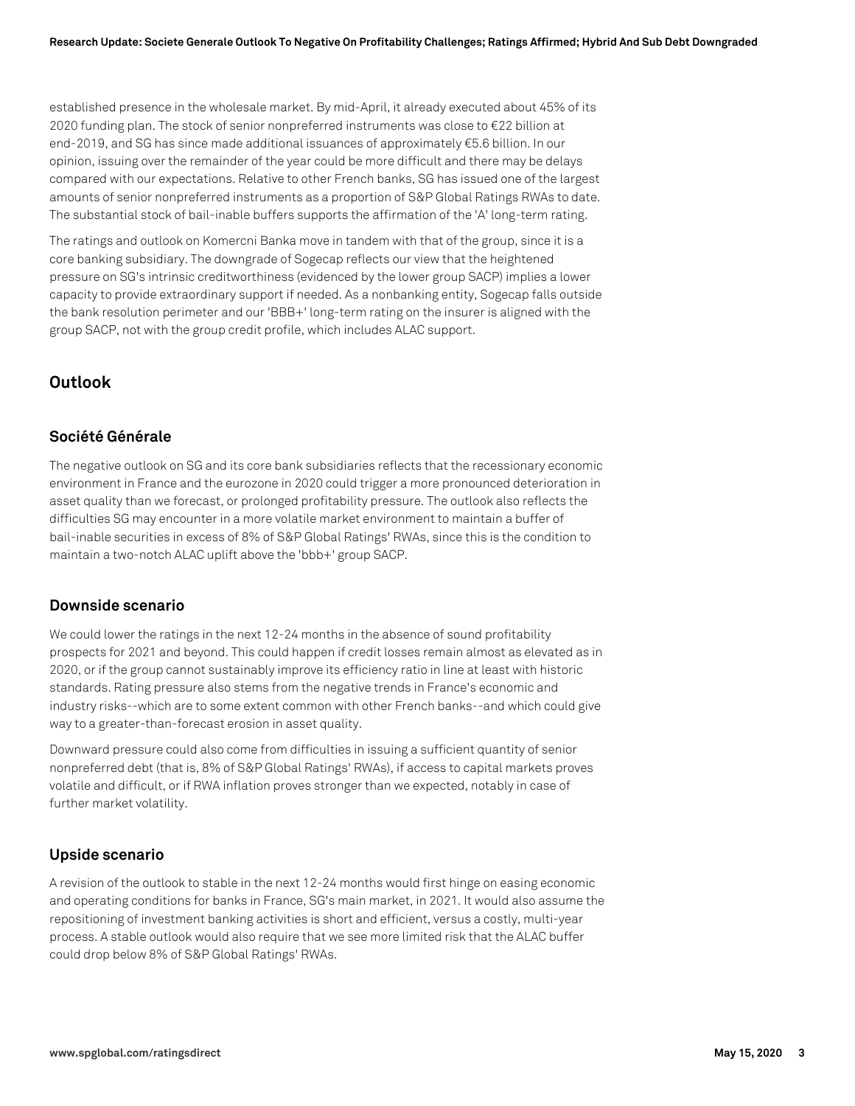established presence in the wholesale market. By mid-April, it already executed about 45% of its 2020 funding plan. The stock of senior nonpreferred instruments was close to €22 billion at end-2019, and SG has since made additional issuances of approximately €5.6 billion. In our opinion, issuing over the remainder of the year could be more difficult and there may be delays compared with our expectations. Relative to other French banks, SG has issued one of the largest amounts of senior nonpreferred instruments as a proportion of S&P Global Ratings RWAs to date. The substantial stock of bail-inable buffers supports the affirmation of the 'A' long-term rating.

The ratings and outlook on Komercni Banka move in tandem with that of the group, since it is a core banking subsidiary. The downgrade of Sogecap reflects our view that the heightened pressure on SG's intrinsic creditworthiness (evidenced by the lower group SACP) implies a lower capacity to provide extraordinary support if needed. As a nonbanking entity, Sogecap falls outside the bank resolution perimeter and our 'BBB+' long-term rating on the insurer is aligned with the group SACP, not with the group credit profile, which includes ALAC support.

## **Outlook**

#### **Société Générale**

The negative outlook on SG and its core bank subsidiaries reflects that the recessionary economic environment in France and the eurozone in 2020 could trigger a more pronounced deterioration in asset quality than we forecast, or prolonged profitability pressure. The outlook also reflects the difficulties SG may encounter in a more volatile market environment to maintain a buffer of bail-inable securities in excess of 8% of S&P Global Ratings' RWAs, since this is the condition to maintain a two-notch ALAC uplift above the 'bbb+' group SACP.

#### **Downside scenario**

We could lower the ratings in the next 12-24 months in the absence of sound profitability prospects for 2021 and beyond. This could happen if credit losses remain almost as elevated as in 2020, or if the group cannot sustainably improve its efficiency ratio in line at least with historic standards. Rating pressure also stems from the negative trends in France's economic and industry risks--which are to some extent common with other French banks--and which could give way to a greater-than-forecast erosion in asset quality.

Downward pressure could also come from difficulties in issuing a sufficient quantity of senior nonpreferred debt (that is, 8% of S&P Global Ratings' RWAs), if access to capital markets proves volatile and difficult, or if RWA inflation proves stronger than we expected, notably in case of further market volatility.

#### **Upside scenario**

A revision of the outlook to stable in the next 12-24 months would first hinge on easing economic and operating conditions for banks in France, SG's main market, in 2021. It would also assume the repositioning of investment banking activities is short and efficient, versus a costly, multi-year process. A stable outlook would also require that we see more limited risk that the ALAC buffer could drop below 8% of S&P Global Ratings' RWAs.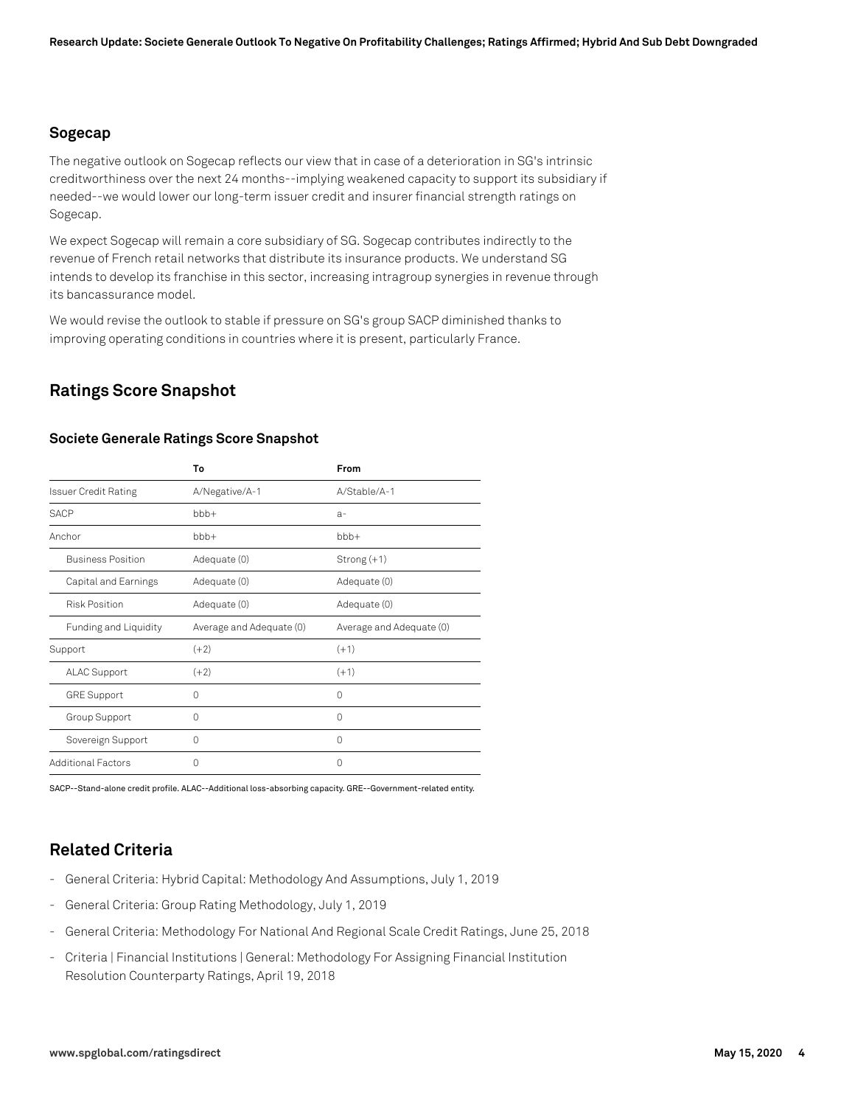#### **Sogecap**

The negative outlook on Sogecap reflects our view that in case of a deterioration in SG's intrinsic creditworthiness over the next 24 months--implying weakened capacity to support its subsidiary if needed--we would lower our long-term issuer credit and insurer financial strength ratings on Sogecap.

We expect Sogecap will remain a core subsidiary of SG. Sogecap contributes indirectly to the revenue of French retail networks that distribute its insurance products. We understand SG intends to develop its franchise in this sector, increasing intragroup synergies in revenue through its bancassurance model.

We would revise the outlook to stable if pressure on SG's group SACP diminished thanks to improving operating conditions in countries where it is present, particularly France.

## **Ratings Score Snapshot**

#### **Societe Generale Ratings Score Snapshot**

|                             | To                       | From                     |
|-----------------------------|--------------------------|--------------------------|
| <b>Issuer Credit Rating</b> | A/Negative/A-1           | A/Stable/A-1             |
| <b>SACP</b>                 | $bbb+$                   | $a-$                     |
| Anchor                      | bbb+                     | bbb+                     |
| <b>Business Position</b>    | Adequate (0)             | Strong $(+1)$            |
| Capital and Earnings        | Adequate (0)             | Adequate (0)             |
| <b>Risk Position</b>        | Adequate (0)             | Adequate (0)             |
| Funding and Liquidity       | Average and Adequate (0) | Average and Adequate (0) |
| Support                     | $(+2)$                   | $(+1)$                   |
| <b>ALAC Support</b>         | $(+2)$                   | $(+1)$                   |
| <b>GRE Support</b>          | 0                        | 0                        |
| Group Support               | 0                        | 0                        |
| Sovereign Support           | 0                        | 0                        |
| <b>Additional Factors</b>   | 0                        | 0                        |

SACP--Stand-alone credit profile. ALAC--Additional loss-absorbing capacity. GRE--Government-related entity.

## **Related Criteria**

- General Criteria: Hybrid Capital: Methodology And Assumptions, July 1, 2019
- General Criteria: Group Rating Methodology, July 1, 2019
- General Criteria: Methodology For National And Regional Scale Credit Ratings, June 25, 2018
- Criteria | Financial Institutions | General: Methodology For Assigning Financial Institution Resolution Counterparty Ratings, April 19, 2018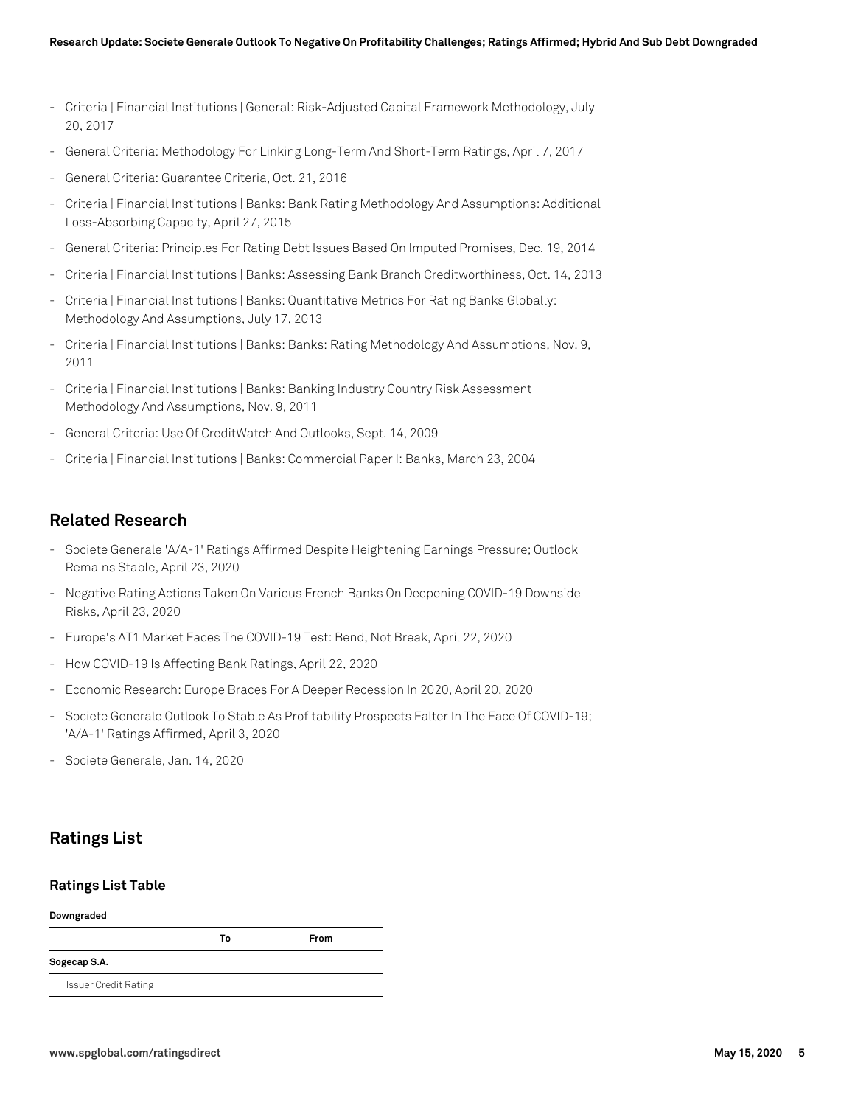- Criteria | Financial Institutions | General: Risk-Adjusted Capital Framework Methodology, July 20, 2017
- General Criteria: Methodology For Linking Long-Term And Short-Term Ratings, April 7, 2017
- General Criteria: Guarantee Criteria, Oct. 21, 2016
- Criteria | Financial Institutions | Banks: Bank Rating Methodology And Assumptions: Additional Loss-Absorbing Capacity, April 27, 2015
- General Criteria: Principles For Rating Debt Issues Based On Imputed Promises, Dec. 19, 2014
- Criteria | Financial Institutions | Banks: Assessing Bank Branch Creditworthiness, Oct. 14, 2013
- Criteria | Financial Institutions | Banks: Quantitative Metrics For Rating Banks Globally: Methodology And Assumptions, July 17, 2013
- Criteria | Financial Institutions | Banks: Banks: Rating Methodology And Assumptions, Nov. 9, 2011
- Criteria | Financial Institutions | Banks: Banking Industry Country Risk Assessment Methodology And Assumptions, Nov. 9, 2011
- General Criteria: Use Of CreditWatch And Outlooks, Sept. 14, 2009
- Criteria | Financial Institutions | Banks: Commercial Paper I: Banks, March 23, 2004

#### **Related Research**

- Societe Generale 'A/A-1' Ratings Affirmed Despite Heightening Earnings Pressure; Outlook Remains Stable, April 23, 2020
- Negative Rating Actions Taken On Various French Banks On Deepening COVID-19 Downside Risks, April 23, 2020
- Europe's AT1 Market Faces The COVID-19 Test: Bend, Not Break, April 22, 2020
- How COVID-19 Is Affecting Bank Ratings, April 22, 2020
- Economic Research: Europe Braces For A Deeper Recession In 2020, April 20, 2020
- Societe Generale Outlook To Stable As Profitability Prospects Falter In The Face Of COVID-19; 'A/A-1' Ratings Affirmed, April 3, 2020
- Societe Generale, Jan. 14, 2020

## **Ratings List**

#### **Ratings List Table**

| Downgraded                  |    |      |  |  |
|-----------------------------|----|------|--|--|
|                             | Т٥ | From |  |  |
| Sogecap S.A.                |    |      |  |  |
| <b>Issuer Credit Rating</b> |    |      |  |  |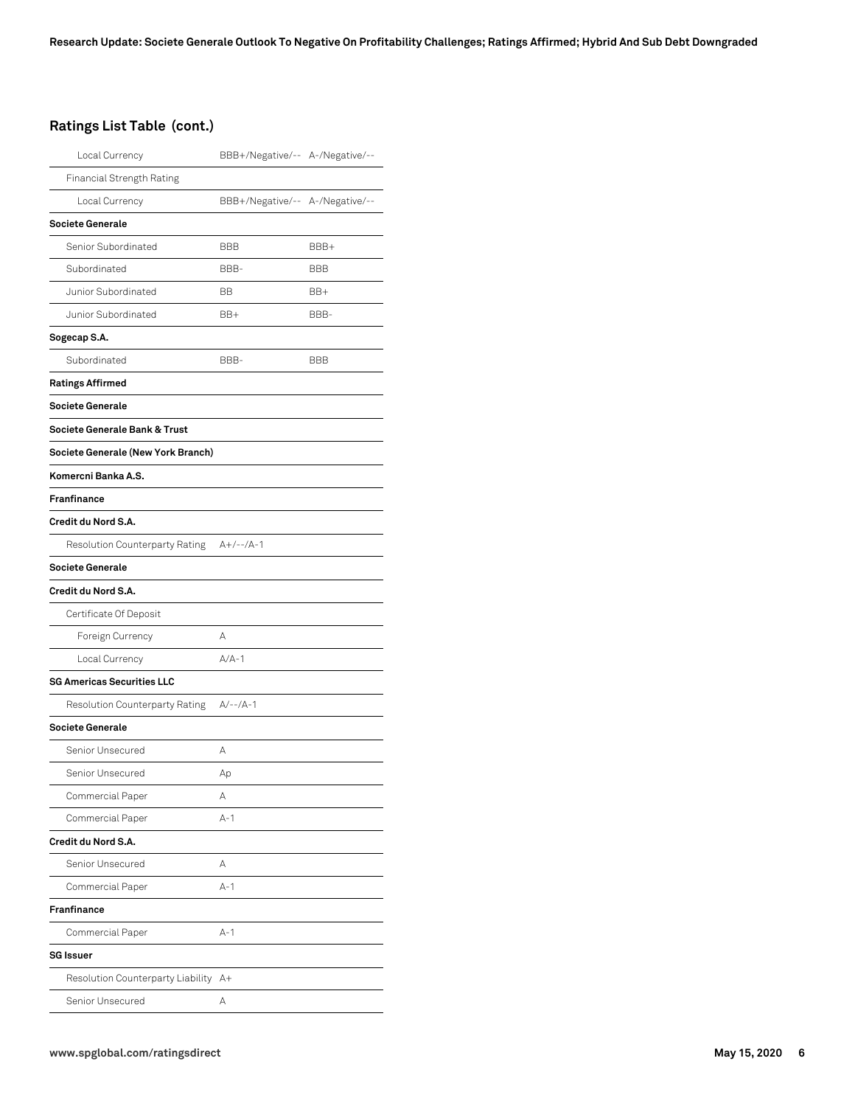#### **Ratings List Table (cont.)**

| Local Currency                     | BBB+/Negative/-- A-/Negative/-- |      |
|------------------------------------|---------------------------------|------|
| <b>Financial Strength Rating</b>   |                                 |      |
| Local Currency                     | BBB+/Negative/-- A-/Negative/-- |      |
| <b>Societe Generale</b>            |                                 |      |
| Senior Subordinated                | <b>BBB</b>                      | BBB+ |
| Subordinated                       | BBB-                            | BBB  |
| Junior Subordinated                | BB                              | BB+  |
| Junior Subordinated                | BB+                             | BBB- |
| Sogecap S.A.                       |                                 |      |
| Subordinated                       | BBB-                            | BBB  |
| <b>Ratings Affirmed</b>            |                                 |      |
| Societe Generale                   |                                 |      |
| Societe Generale Bank & Trust      |                                 |      |
| Societe Generale (New York Branch) |                                 |      |
| Komercni Banka A.S.                |                                 |      |
| <b>Franfinance</b>                 |                                 |      |
| Credit du Nord S.A.                |                                 |      |
| Resolution Counterparty Rating     | $A+/--/A-1$                     |      |
| <b>Societe Generale</b>            |                                 |      |
| Credit du Nord S.A.                |                                 |      |
| Certificate Of Deposit             |                                 |      |
| Foreign Currency                   | А                               |      |
| Local Currency                     | $A/A-1$                         |      |
| <b>SG Americas Securities LLC</b>  |                                 |      |
| Resolution Counterparty Rating     | $A/-- /A-1$                     |      |
| <b>Societe Generale</b>            |                                 |      |
| Senior Unsecured                   | А                               |      |
| Senior Unsecured                   | Аp                              |      |
| Commercial Paper                   | А                               |      |
| Commercial Paper                   | $A-1$                           |      |
| Credit du Nord S.A.                |                                 |      |
| Senior Unsecured                   | А                               |      |
| Commercial Paper                   | $A-1$                           |      |
| <b>Franfinance</b>                 |                                 |      |
| Commercial Paper                   | $A-1$                           |      |
| <b>SG Issuer</b>                   |                                 |      |
| Resolution Counterparty Liability  | A+                              |      |
| Senior Unsecured                   | А                               |      |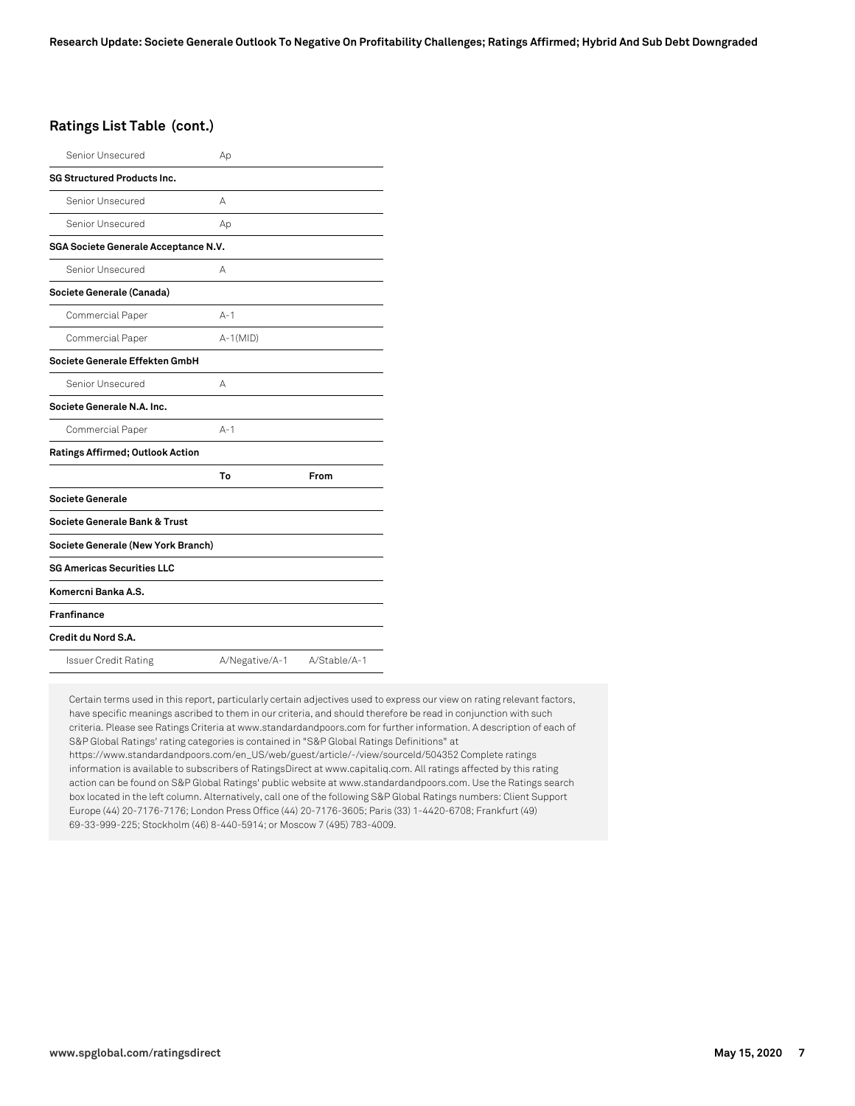#### **Ratings List Table (cont.)**

| Senior Unsecured                        | Аp             |              |
|-----------------------------------------|----------------|--------------|
| <b>SG Structured Products Inc.</b>      |                |              |
| Senior Unsecured                        | А              |              |
| Senior Unsecured                        | Аp             |              |
| SGA Societe Generale Acceptance N.V.    |                |              |
| Senior Unsecured                        | А              |              |
| Societe Generale (Canada)               |                |              |
| Commercial Paper                        | $A - 1$        |              |
| Commercial Paper                        | $A-1(MID)$     |              |
| Societe Generale Effekten GmbH          |                |              |
| Senior Unsecured                        | А              |              |
| Societe Generale N.A. Inc.              |                |              |
| Commercial Paper                        | $A - 1$        |              |
| <b>Ratings Affirmed; Outlook Action</b> |                |              |
|                                         | To             | From         |
| Societe Generale                        |                |              |
| Societe Generale Bank & Trust           |                |              |
| Societe Generale (New York Branch)      |                |              |
| <b>SG Americas Securities LLC</b>       |                |              |
| Komercni Banka A.S.                     |                |              |
| <b>Franfinance</b>                      |                |              |
| Credit du Nord S.A.                     |                |              |
| <b>Issuer Credit Rating</b>             | A/Negative/A-1 | A/Stable/A-1 |

Certain terms used in this report, particularly certain adjectives used to express our view on rating relevant factors, have specific meanings ascribed to them in our criteria, and should therefore be read in conjunction with such criteria. Please see Ratings Criteria at www.standardandpoors.com for further information. A description of each of S&P Global Ratings' rating categories is contained in "S&P Global Ratings Definitions" at https://www.standardandpoors.com/en\_US/web/guest/article/-/view/sourceId/504352 Complete ratings information is available to subscribers of RatingsDirect at www.capitaliq.com. All ratings affected by this rating action can be found on S&P Global Ratings' public website at www.standardandpoors.com. Use the Ratings search box located in the left column. Alternatively, call one of the following S&P Global Ratings numbers: Client Support Europe (44) 20-7176-7176; London Press Office (44) 20-7176-3605; Paris (33) 1-4420-6708; Frankfurt (49) 69-33-999-225; Stockholm (46) 8-440-5914; or Moscow 7 (495) 783-4009.